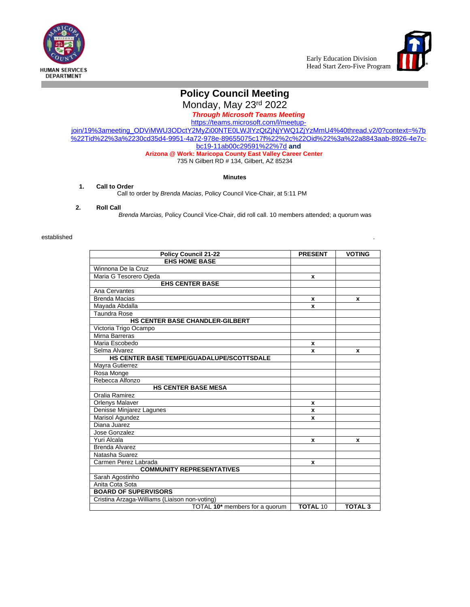



# **[Policy Council](http://www.google.com/imgres?imgurl=http://www.caswg.org/hs/headstart_logo.jpg&imgrefurl=http://www.caswg.org/hs/results2.php&usg=__SCvRC2tzrI3TXzkvgRWgNAo5lYA=&h=375&w=308&sz=18&hl=en&start=1&itbs=1&tbnid=rzesdo65TBrA4M:&tbnh=122&tbnw=100&prev=/images?q=head+start&hl=en&gbv=2&tbs=isch:1) [Meeting](http://www.google.com/imgres?imgurl=http://www.caswg.org/hs/headstart_logo.jpg&imgrefurl=http://www.caswg.org/hs/results2.php&usg=__SCvRC2tzrI3TXzkvgRWgNAo5lYA=&h=375&w=308&sz=18&hl=en&start=1&itbs=1&tbnid=rzesdo65TBrA4M:&tbnh=122&tbnw=100&prev=/images?q=head+start&hl=en&gbv=2&tbs=isch:1)**

[Monday,](http://www.google.com/imgres?imgurl=http://www.caswg.org/hs/headstart_logo.jpg&imgrefurl=http://www.caswg.org/hs/results2.php&usg=__SCvRC2tzrI3TXzkvgRWgNAo5lYA=&h=375&w=308&sz=18&hl=en&start=1&itbs=1&tbnid=rzesdo65TBrA4M:&tbnh=122&tbnw=100&prev=/images?q=head+start&hl=en&gbv=2&tbs=isch:1) [May 23](http://www.google.com/imgres?imgurl=http://www.caswg.org/hs/headstart_logo.jpg&imgrefurl=http://www.caswg.org/hs/results2.php&usg=__SCvRC2tzrI3TXzkvgRWgNAo5lYA=&h=375&w=308&sz=18&hl=en&start=1&itbs=1&tbnid=rzesdo65TBrA4M:&tbnh=122&tbnw=100&prev=/images?q=head+start&hl=en&gbv=2&tbs=isch:1)<sup>[rd](http://www.google.com/imgres?imgurl=http://www.caswg.org/hs/headstart_logo.jpg&imgrefurl=http://www.caswg.org/hs/results2.php&usg=__SCvRC2tzrI3TXzkvgRWgNAo5lYA=&h=375&w=308&sz=18&hl=en&start=1&itbs=1&tbnid=rzesdo65TBrA4M:&tbnh=122&tbnw=100&prev=/images?q=head+start&hl=en&gbv=2&tbs=isch:1)</sup> [2022](http://www.google.com/imgres?imgurl=http://www.caswg.org/hs/headstart_logo.jpg&imgrefurl=http://www.caswg.org/hs/results2.php&usg=__SCvRC2tzrI3TXzkvgRWgNAo5lYA=&h=375&w=308&sz=18&hl=en&start=1&itbs=1&tbnid=rzesdo65TBrA4M:&tbnh=122&tbnw=100&prev=/images?q=head+start&hl=en&gbv=2&tbs=isch:1)

*[Through Microsoft Teams Meeting](http://www.google.com/imgres?imgurl=http://www.caswg.org/hs/headstart_logo.jpg&imgrefurl=http://www.caswg.org/hs/results2.php&usg=__SCvRC2tzrI3TXzkvgRWgNAo5lYA=&h=375&w=308&sz=18&hl=en&start=1&itbs=1&tbnid=rzesdo65TBrA4M:&tbnh=122&tbnw=100&prev=/images?q=head+start&hl=en&gbv=2&tbs=isch:1)*

[https://teams.microsoft.com/l/meetup](https://teams.microsoft.com/l/meetup-join/19%3ameeting_ODViMWU3ODctY2MyZi00NTE0LWJlYzQtZjNjYWQ1ZjYzMmU4%40thread.v2/0?context=%7b%22Tid%22%3a%2230cd35d4-9951-4a72-978e-89655075c17f%22%2c%22Oid%22%3a%22a8843aab-8926-4e7c-bc19-11ab00c29591%22%7d)join/19%3ameeting\_ODViMWU3ODctY2MyZi00NTE0LWJlYzQtZjNjYWQ1ZjYzMmU4%40thread.v2/0?context=%7b %22Tid%22%3a%2230cd35d4-9951-4a72-978e-89655075c17f%22%2c%22Oid%22%3a%22a8843aab-8926-4e7cbc19-11ab00c29591%22%7d **and**

#### **Arizona @ Work: Maricopa County East Valley Career Center**

735 N Gilbert RD # 134, Gilbert, AZ 85234

### **Minutes**

#### **1. Call to Order**

Call to order by *Brenda Macias*, Policy Council Vice-Chair, at 5:11 PM

#### **2. Roll Call**

*Brenda Marcias,* Policy Council Vice-Chair, did roll call. 10 members attended; a quorum was

#### established .

| <b>Policy Council 21-22</b>                      | <b>PRESENT</b>  | <b>VOTING</b>  |  |  |
|--------------------------------------------------|-----------------|----------------|--|--|
| <b>EHS HOME BASE</b>                             |                 |                |  |  |
| Winnona De la Cruz                               |                 |                |  |  |
| Maria G Tesorero Ojeda                           | x               |                |  |  |
| <b>EHS CENTER BASE</b>                           |                 |                |  |  |
| Ana Cervantes                                    |                 |                |  |  |
| <b>Brenda Macias</b>                             | x               | x              |  |  |
| Mayada Abdalla                                   | x               |                |  |  |
| <b>Taundra Rose</b>                              |                 |                |  |  |
| HS CENTER BASE CHANDLER-GILBERT                  |                 |                |  |  |
| Victoria Trigo Ocampo                            |                 |                |  |  |
| Mirna Barreras                                   |                 |                |  |  |
| Maria Escobedo                                   | x               |                |  |  |
| Selma Alvarez                                    | x               | x              |  |  |
| <b>HS CENTER BASE TEMPE/GUADALUPE/SCOTTSDALE</b> |                 |                |  |  |
| Mayra Gutierrez                                  |                 |                |  |  |
| Rosa Monge                                       |                 |                |  |  |
| Rebecca Alfonzo                                  |                 |                |  |  |
| <b>HS CENTER BASE MESA</b>                       |                 |                |  |  |
| Oralia Ramirez                                   |                 |                |  |  |
| Orlenys Malaver                                  | x               |                |  |  |
| Denisse Minjarez Lagunes                         | x               |                |  |  |
| Marisol Agundez                                  | x               |                |  |  |
| Diana Juarez                                     |                 |                |  |  |
| Jose Gonzalez                                    |                 |                |  |  |
| Yuri Alcala                                      | x               | x              |  |  |
| <b>Brenda Alvarez</b>                            |                 |                |  |  |
| Natasha Suarez                                   |                 |                |  |  |
| Carmen Perez Labrada                             | x               |                |  |  |
| <b>COMMUNITY REPRESENTATIVES</b>                 |                 |                |  |  |
| Sarah Agostinho                                  |                 |                |  |  |
| Anita Cota Sota                                  |                 |                |  |  |
| <b>BOARD OF SUPERVISORS</b>                      |                 |                |  |  |
| Cristina Arzaga-Williams (Liaison non-voting)    |                 |                |  |  |
| TOTAL 10 <sup>*</sup> members for a quorum       | <b>TOTAL 10</b> | <b>TOTAL 3</b> |  |  |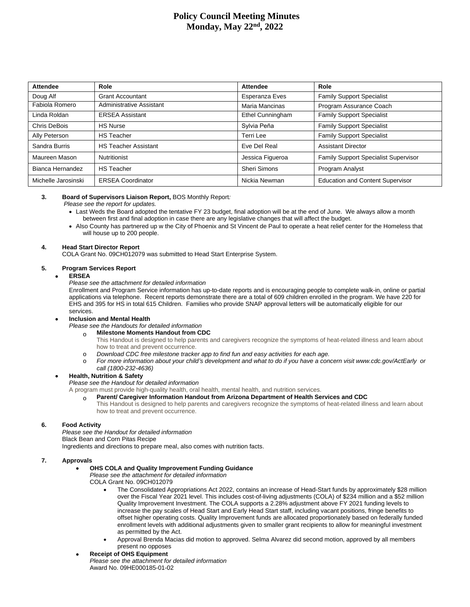# **Policy Council Meeting Minutes Monday, May 22nd , 2022**

| Attendee            | Role                        | Attendee                | Role                                        |  |
|---------------------|-----------------------------|-------------------------|---------------------------------------------|--|
| Doug Alf            | <b>Grant Accountant</b>     | Esperanza Eves          | <b>Family Support Specialist</b>            |  |
| Fabiola Romero      | Administrative Assistant    | Maria Mancinas          | Program Assurance Coach                     |  |
| Linda Roldan        | <b>ERSEA Assistant</b>      | <b>Ethel Cunningham</b> | <b>Family Support Specialist</b>            |  |
| Chris DeBois        | <b>HS Nurse</b>             | Sylvia Peña             | <b>Family Support Specialist</b>            |  |
| Ally Peterson       | <b>HS Teacher</b>           | Terri Lee               | <b>Family Support Specialist</b>            |  |
| Sandra Burris       | <b>HS Teacher Assistant</b> | Eve Del Real            | <b>Assistant Director</b>                   |  |
| Maureen Mason       | Nutritionist                | Jessica Figueroa        | <b>Family Support Specialist Supervisor</b> |  |
| Bianca Hernandez    | <b>HS Teacher</b>           | Sheri Simons            | Program Analyst                             |  |
| Michelle Jarosinski | <b>ERSEA Coordinator</b>    | Nickia Newman           | <b>Education and Content Supervisor</b>     |  |

#### **3. Board of Supervisors Liaison Report,** BOS Monthly Report*:*

 *Please see the report for updates.*

- Last Weds the Board adopted the tentative FY 23 budget, final adoption will be at the end of June. We always allow a month between first and final adoption in case there are any legislative changes that will affect the budget.
- Also County has partnered up w the City of Phoenix and St Vincent de Paul to operate a heat relief center for the Homeless that will house up to 200 people.

#### **4. Head Start Director Report**

COLA Grant No. 09CH012079 was submitted to Head Start Enterprise System.

#### **5. Program Services Report**

#### **ERSEA**

*Please see the attachment for detailed information*

Enrollment and Program Service information has up-to-date reports and is encouraging people to complete walk-in, online or partial applications via telephone. Recent reports demonstrate there are a total of 609 children enrolled in the program. We have 220 for EHS and 395 for HS in total 615 Children. Families who provide SNAP approval letters will be automatically eligible for our services.

#### **Inclusion and Mental Health**

*Please see the Handouts for detailed information*

#### o **Milestone Moments Handout from CDC**

- This Handout is designed to help parents and caregivers recognize the symptoms of heat-related illness and learn about how to treat and prevent occurrence.
- o *Download CDC free milestone tracker app to find fun and easy activities for each age.*
- For more information about your child's development and what to do if you have a concern visit www.cdc.gov/ActEarly or *call (1800-232-4636)*

#### **Health, Nutrition & Safety**

*Please see the Handout for detailed information*

- A program must provide high-quality health, oral health, mental health, and nutrition services.
	- **Parent/ Caregiver Information Handout from Arizona Department of Health Services and CDC** 
		- This Handout is designed to help parents and caregivers recognize the symptoms of heat-related illness and learn about how to treat and prevent occurrence.

# **6. Food Activity**

*Please see the Handout for detailed information* Black Bean and Corn Pitas Recipe Ingredients and directions to prepare meal, also comes with nutrition facts.

#### **7. Approvals**

**OHS COLA and Quality Improvement Funding Guidance**

*Please see the attachment for detailed information*

- COLA Grant No. 09CH012079
	- The Consolidated Appropriations Act 2022, contains an increase of Head-Start funds by approximately \$28 million over the Fiscal Year 2021 level. This includes cost-of-living adjustments (COLA) of \$234 million and a \$52 million Quality Improvement Investment. The COLA supports a 2.28% adjustment above FY 2021 funding levels to increase the pay scales of Head Start and Early Head Start staff, including vacant positions, fringe benefits to offset higher operating costs. Quality Improvement funds are allocated proportionately based on federally funded enrollment levels with additional adjustments given to smaller grant recipients to allow for meaningful investment as permitted by the Act.
	- Approval Brenda Macias did motion to approved. Selma Alvarez did second motion, approved by all members present no opposes

### **Receipt of OHS Equipment** *Please see the attachment for detailed information*

Award No. 09HE000185-01-02